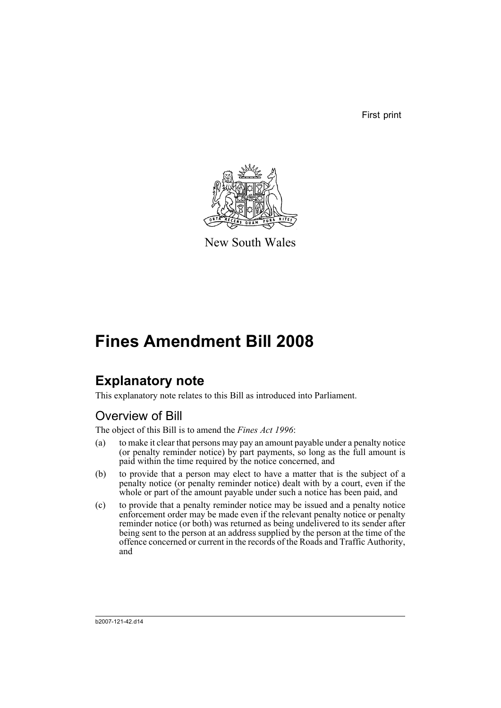First print



New South Wales

# **Fines Amendment Bill 2008**

## **Explanatory note**

This explanatory note relates to this Bill as introduced into Parliament.

## Overview of Bill

The object of this Bill is to amend the *Fines Act 1996*:

- (a) to make it clear that persons may pay an amount payable under a penalty notice (or penalty reminder notice) by part payments, so long as the full amount is paid within the time required by the notice concerned, and
- (b) to provide that a person may elect to have a matter that is the subject of a penalty notice (or penalty reminder notice) dealt with by a court, even if the whole or part of the amount payable under such a notice has been paid, and
- (c) to provide that a penalty reminder notice may be issued and a penalty notice enforcement order may be made even if the relevant penalty notice or penalty reminder notice (or both) was returned as being undelivered to its sender after being sent to the person at an address supplied by the person at the time of the offence concerned or current in the records of the Roads and Traffic Authority, and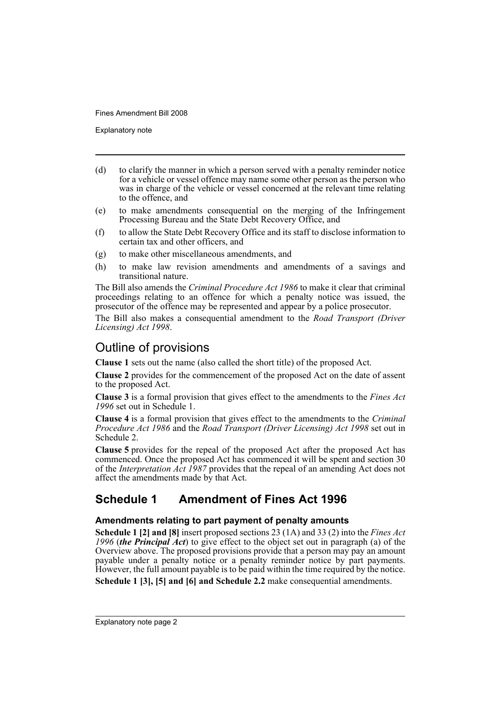Explanatory note

- (d) to clarify the manner in which a person served with a penalty reminder notice for a vehicle or vessel offence may name some other person as the person who was in charge of the vehicle or vessel concerned at the relevant time relating to the offence, and
- (e) to make amendments consequential on the merging of the Infringement Processing Bureau and the State Debt Recovery Office, and
- (f) to allow the State Debt Recovery Office and its staff to disclose information to certain tax and other officers, and
- (g) to make other miscellaneous amendments, and
- (h) to make law revision amendments and amendments of a savings and transitional nature.

The Bill also amends the *Criminal Procedure Act 1986* to make it clear that criminal proceedings relating to an offence for which a penalty notice was issued, the prosecutor of the offence may be represented and appear by a police prosecutor.

The Bill also makes a consequential amendment to the *Road Transport (Driver Licensing) Act 1998*.

### Outline of provisions

**Clause 1** sets out the name (also called the short title) of the proposed Act.

**Clause 2** provides for the commencement of the proposed Act on the date of assent to the proposed Act.

**Clause 3** is a formal provision that gives effect to the amendments to the *Fines Act 1996* set out in Schedule 1.

**Clause 4** is a formal provision that gives effect to the amendments to the *Criminal Procedure Act 1986* and the *Road Transport (Driver Licensing) Act 1998* set out in Schedule 2.

**Clause 5** provides for the repeal of the proposed Act after the proposed Act has commenced. Once the proposed Act has commenced it will be spent and section 30 of the *Interpretation Act 1987* provides that the repeal of an amending Act does not affect the amendments made by that Act.

## **Schedule 1 Amendment of Fines Act 1996**

#### **Amendments relating to part payment of penalty amounts**

**Schedule 1 [2] and [8]** insert proposed sections 23 (1A) and 33 (2) into the *Fines Act 1996* (*the Principal Act*) to give effect to the object set out in paragraph (a) of the Overview above. The proposed provisions provide that a person may pay an amount payable under a penalty notice or a penalty reminder notice by part payments. However, the full amount payable is to be paid within the time required by the notice.

**Schedule 1 [3], [5] and [6] and Schedule 2.2** make consequential amendments.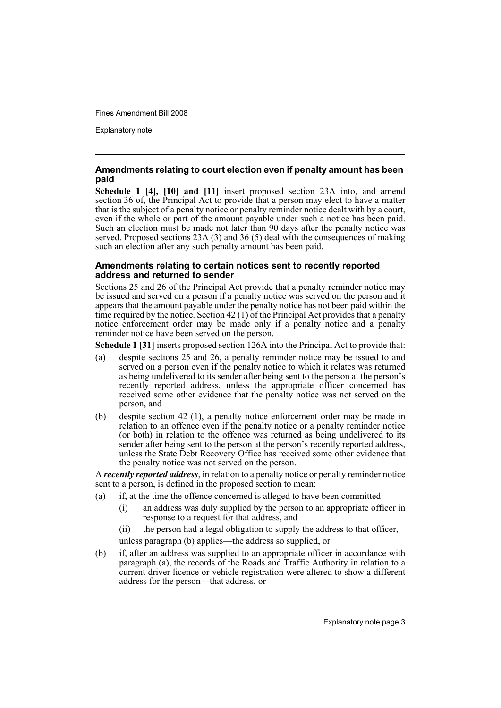Explanatory note

#### **Amendments relating to court election even if penalty amount has been paid**

**Schedule 1 [4], [10] and [11]** insert proposed section 23A into, and amend section 36 of, the Principal Act to provide that a person may elect to have a matter that is the subject of a penalty notice or penalty reminder notice dealt with by a court, even if the whole or part of the amount payable under such a notice has been paid. Such an election must be made not later than 90 days after the penalty notice was served. Proposed sections 23A (3) and 36 (5) deal with the consequences of making such an election after any such penalty amount has been paid.

#### **Amendments relating to certain notices sent to recently reported address and returned to sender**

Sections 25 and 26 of the Principal Act provide that a penalty reminder notice may be issued and served on a person if a penalty notice was served on the person and it appears that the amount payable under the penalty notice has not been paid within the time required by the notice. Section  $42(1)$  of the Principal Act provides that a penalty notice enforcement order may be made only if a penalty notice and a penalty reminder notice have been served on the person.

**Schedule 1 [31]** inserts proposed section 126A into the Principal Act to provide that:

- (a) despite sections 25 and 26, a penalty reminder notice may be issued to and served on a person even if the penalty notice to which it relates was returned as being undelivered to its sender after being sent to the person at the person's recently reported address, unless the appropriate officer concerned has received some other evidence that the penalty notice was not served on the person, and
- (b) despite section 42 (1), a penalty notice enforcement order may be made in relation to an offence even if the penalty notice or a penalty reminder notice (or both) in relation to the offence was returned as being undelivered to its sender after being sent to the person at the person's recently reported address, unless the State Debt Recovery Office has received some other evidence that the penalty notice was not served on the person.

A *recently reported address*, in relation to a penalty notice or penalty reminder notice sent to a person, is defined in the proposed section to mean:

- (a) if, at the time the offence concerned is alleged to have been committed:
	- (i) an address was duly supplied by the person to an appropriate officer in response to a request for that address, and

(ii) the person had a legal obligation to supply the address to that officer,

unless paragraph (b) applies—the address so supplied, or

(b) if, after an address was supplied to an appropriate officer in accordance with paragraph (a), the records of the Roads and Traffic Authority in relation to a current driver licence or vehicle registration were altered to show a different address for the person—that address, or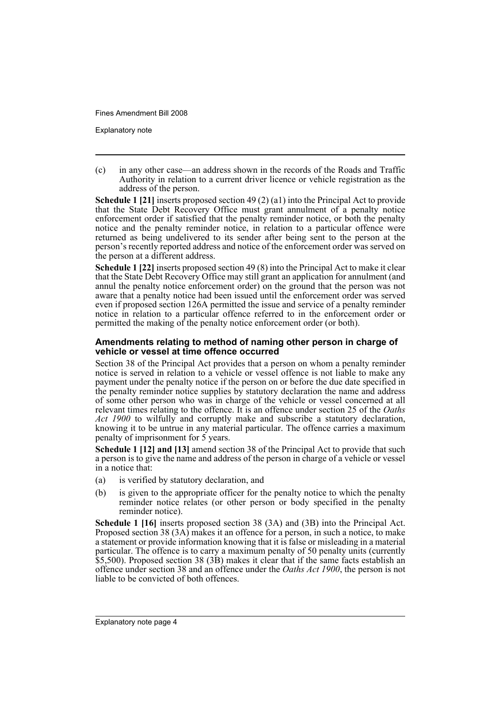Explanatory note

(c) in any other case—an address shown in the records of the Roads and Traffic Authority in relation to a current driver licence or vehicle registration as the address of the person.

**Schedule 1 [21]** inserts proposed section 49 (2) (a1) into the Principal Act to provide that the State Debt Recovery Office must grant annulment of a penalty notice enforcement order if satisfied that the penalty reminder notice, or both the penalty notice and the penalty reminder notice, in relation to a particular offence were returned as being undelivered to its sender after being sent to the person at the person's recently reported address and notice of the enforcement order was served on the person at a different address.

**Schedule 1 [22]** inserts proposed section 49 (8) into the Principal Act to make it clear that the State Debt Recovery Office may still grant an application for annulment (and annul the penalty notice enforcement order) on the ground that the person was not aware that a penalty notice had been issued until the enforcement order was served even if proposed section 126A permitted the issue and service of a penalty reminder notice in relation to a particular offence referred to in the enforcement order or permitted the making of the penalty notice enforcement order (or both).

#### **Amendments relating to method of naming other person in charge of vehicle or vessel at time offence occurred**

Section 38 of the Principal Act provides that a person on whom a penalty reminder notice is served in relation to a vehicle or vessel offence is not liable to make any payment under the penalty notice if the person on or before the due date specified in the penalty reminder notice supplies by statutory declaration the name and address of some other person who was in charge of the vehicle or vessel concerned at all relevant times relating to the offence. It is an offence under section 25 of the *Oaths Act 1900* to wilfully and corruptly make and subscribe a statutory declaration, knowing it to be untrue in any material particular. The offence carries a maximum penalty of imprisonment for  $\overline{5}$  years.

**Schedule 1 [12] and [13]** amend section 38 of the Principal Act to provide that such a person is to give the name and address of the person in charge of a vehicle or vessel in a notice that:

- (a) is verified by statutory declaration, and
- (b) is given to the appropriate officer for the penalty notice to which the penalty reminder notice relates (or other person or body specified in the penalty reminder notice).

**Schedule 1 [16]** inserts proposed section 38 (3A) and (3B) into the Principal Act. Proposed section 38 (3A) makes it an offence for a person, in such a notice, to make a statement or provide information knowing that it is false or misleading in a material particular. The offence is to carry a maximum penalty of 50 penalty units (currently \$5,500). Proposed section 38 (3B) makes it clear that if the same facts establish an offence under section 38 and an offence under the *Oaths Act 1900*, the person is not liable to be convicted of both offences.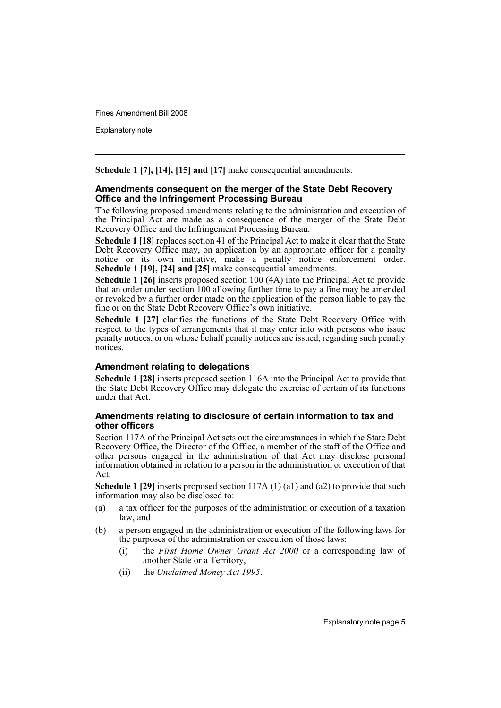Explanatory note

**Schedule 1 [7], [14], [15] and [17]** make consequential amendments.

#### **Amendments consequent on the merger of the State Debt Recovery Office and the Infringement Processing Bureau**

The following proposed amendments relating to the administration and execution of the Principal Act are made as a consequence of the merger of the State Debt Recovery Office and the Infringement Processing Bureau.

**Schedule 1 [18]** replaces section 41 of the Principal Act to make it clear that the State Debt Recovery Office may, on application by an appropriate officer for a penalty notice or its own initiative, make a penalty notice enforcement order. **Schedule 1 [19], [24] and [25]** make consequential amendments.

**Schedule 1 [26]** inserts proposed section 100 (4A) into the Principal Act to provide that an order under section 100 allowing further time to pay a fine may be amended or revoked by a further order made on the application of the person liable to pay the fine or on the State Debt Recovery Office's own initiative.

**Schedule 1 [27]** clarifies the functions of the State Debt Recovery Office with respect to the types of arrangements that it may enter into with persons who issue penalty notices, or on whose behalf penalty notices are issued, regarding such penalty notices.

#### **Amendment relating to delegations**

**Schedule 1 [28]** inserts proposed section 116A into the Principal Act to provide that the State Debt Recovery Office may delegate the exercise of certain of its functions under that Act.

#### **Amendments relating to disclosure of certain information to tax and other officers**

Section 117A of the Principal Act sets out the circumstances in which the State Debt Recovery Office, the Director of the Office, a member of the staff of the Office and other persons engaged in the administration of that Act may disclose personal information obtained in relation to a person in the administration or execution of that Act.

**Schedule 1 [29]** inserts proposed section 117A (1) (a1) and (a2) to provide that such information may also be disclosed to:

- (a) a tax officer for the purposes of the administration or execution of a taxation law, and
- (b) a person engaged in the administration or execution of the following laws for the purposes of the administration or execution of those laws:
	- (i) the *First Home Owner Grant Act 2000* or a corresponding law of another State or a Territory,
	- (ii) the *Unclaimed Money Act 1995*.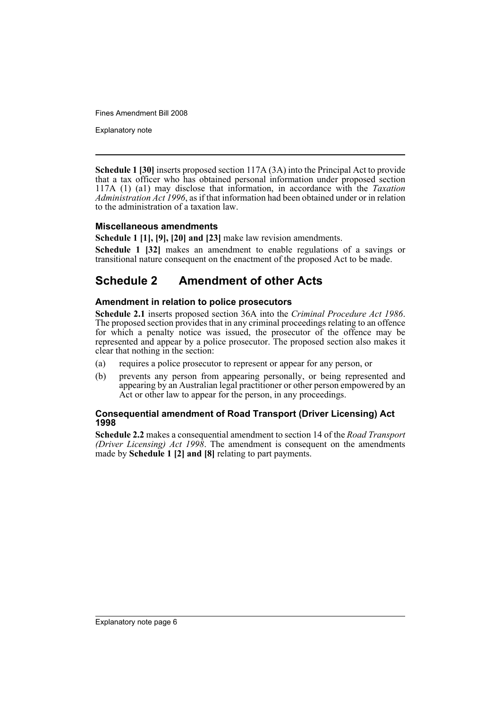Explanatory note

**Schedule 1 [30]** inserts proposed section 117A (3A) into the Principal Act to provide that a tax officer who has obtained personal information under proposed section 117A (1) (a1) may disclose that information, in accordance with the *Taxation Administration Act 1996*, as if that information had been obtained under or in relation to the administration of a taxation law.

#### **Miscellaneous amendments**

**Schedule 1 [1], [9], [20] and [23]** make law revision amendments.

**Schedule 1 [32]** makes an amendment to enable regulations of a savings or transitional nature consequent on the enactment of the proposed Act to be made.

## **Schedule 2 Amendment of other Acts**

#### **Amendment in relation to police prosecutors**

**Schedule 2.1** inserts proposed section 36A into the *Criminal Procedure Act 1986*. The proposed section provides that in any criminal proceedings relating to an offence for which a penalty notice was issued, the prosecutor of the offence may be represented and appear by a police prosecutor. The proposed section also makes it clear that nothing in the section:

- (a) requires a police prosecutor to represent or appear for any person, or
- (b) prevents any person from appearing personally, or being represented and appearing by an Australian legal practitioner or other person empowered by an Act or other law to appear for the person, in any proceedings.

#### **Consequential amendment of Road Transport (Driver Licensing) Act 1998**

**Schedule 2.2** makes a consequential amendment to section 14 of the *Road Transport (Driver Licensing) Act 1998*. The amendment is consequent on the amendments made by **Schedule 1 [2] and [8]** relating to part payments.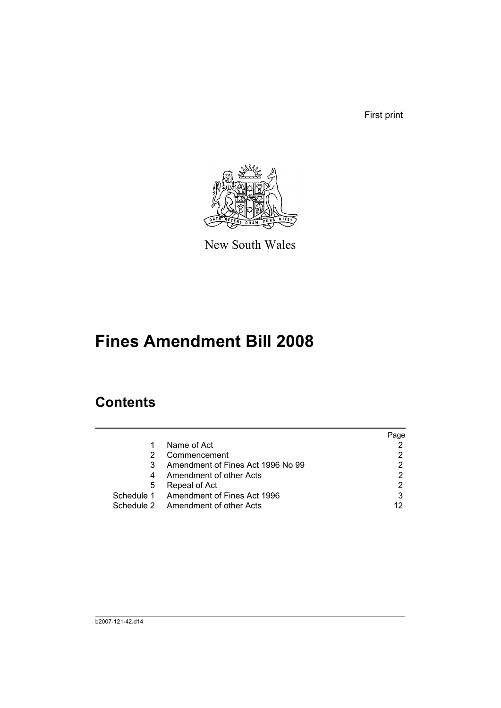First print



New South Wales

# **Fines Amendment Bill 2008**

## **Contents**

|   |                                        | Page |
|---|----------------------------------------|------|
|   | Name of Act                            |      |
|   | Commencement                           |      |
|   | Amendment of Fines Act 1996 No 99      |      |
| 4 | Amendment of other Acts                |      |
| 5 | Repeal of Act                          |      |
|   | Schedule 1 Amendment of Fines Act 1996 |      |
|   | Schedule 2 Amendment of other Acts     |      |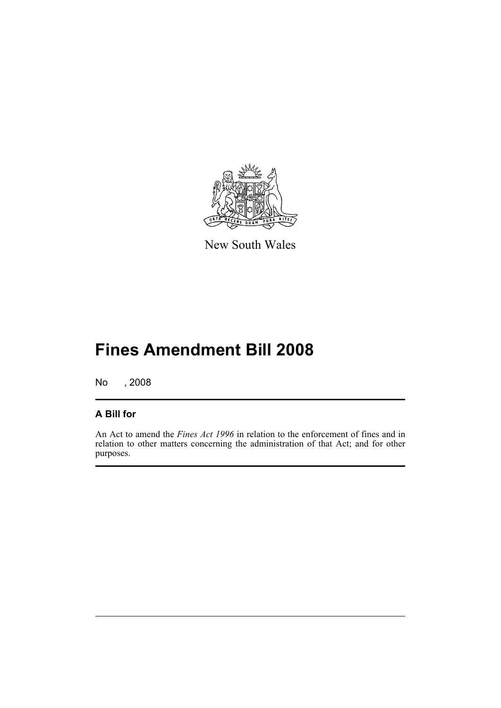

New South Wales

# **Fines Amendment Bill 2008**

No , 2008

### **A Bill for**

An Act to amend the *Fines Act 1996* in relation to the enforcement of fines and in relation to other matters concerning the administration of that Act; and for other purposes.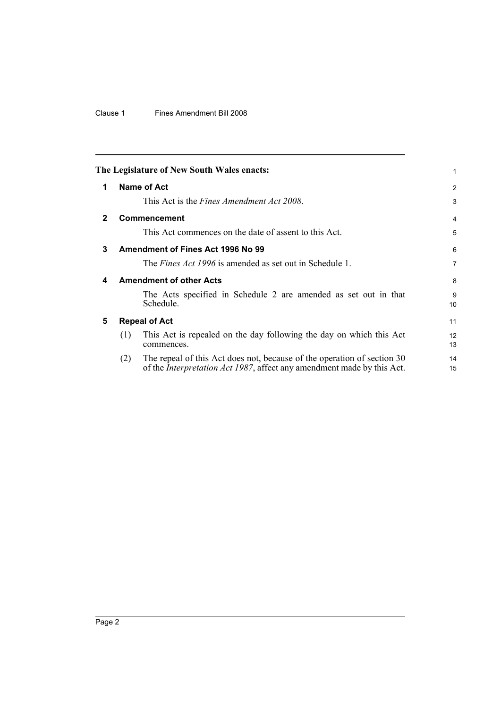#### Clause 1 Fines Amendment Bill 2008

<span id="page-9-4"></span><span id="page-9-3"></span><span id="page-9-2"></span><span id="page-9-1"></span><span id="page-9-0"></span>

|              |     | The Legislature of New South Wales enacts:                                                                                                                | 1              |
|--------------|-----|-----------------------------------------------------------------------------------------------------------------------------------------------------------|----------------|
| 1            |     | Name of Act                                                                                                                                               | 2              |
|              |     | This Act is the <i>Fines Amendment Act 2008</i> .                                                                                                         | 3              |
| $\mathbf{2}$ |     | <b>Commencement</b>                                                                                                                                       | 4              |
|              |     | This Act commences on the date of assent to this Act.                                                                                                     | 5              |
| 3            |     | Amendment of Fines Act 1996 No 99                                                                                                                         | 6              |
|              |     | The <i>Fines Act 1996</i> is amended as set out in Schedule 1.                                                                                            | $\overline{7}$ |
| 4            |     | <b>Amendment of other Acts</b>                                                                                                                            | 8              |
|              |     | The Acts specified in Schedule 2 are amended as set out in that<br>Schedule.                                                                              | 9<br>10        |
| 5            |     | <b>Repeal of Act</b>                                                                                                                                      | 11             |
|              | (1) | This Act is repealed on the day following the day on which this Act<br>commences.                                                                         | 12<br>13       |
|              | (2) | The repeal of this Act does not, because of the operation of section 30<br>of the <i>Interpretation Act 1987</i> , affect any amendment made by this Act. | 14<br>15       |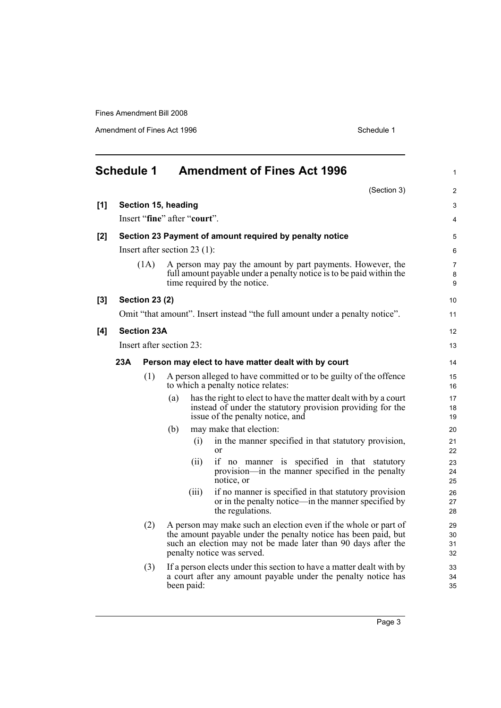Amendment of Fines Act 1996 Schedule 1

<span id="page-10-0"></span>

|       | <b>Schedule 1</b> |                       |                              | <b>Amendment of Fines Act 1996</b>                                                                                                                                                                                               | $\mathbf{1}$             |
|-------|-------------------|-----------------------|------------------------------|----------------------------------------------------------------------------------------------------------------------------------------------------------------------------------------------------------------------------------|--------------------------|
|       |                   |                       |                              | (Section 3)                                                                                                                                                                                                                      | $\overline{2}$           |
| [1]   |                   |                       | Section 15, heading          |                                                                                                                                                                                                                                  | 3                        |
|       |                   |                       | Insert "fine" after "court". |                                                                                                                                                                                                                                  | 4                        |
| $[2]$ |                   |                       |                              | Section 23 Payment of amount required by penalty notice                                                                                                                                                                          | 5                        |
|       |                   |                       | Insert after section 23 (1): |                                                                                                                                                                                                                                  | 6                        |
|       |                   | (1A)                  |                              | A person may pay the amount by part payments. However, the<br>full amount payable under a penalty notice is to be paid within the<br>time required by the notice.                                                                | $\overline{7}$<br>8<br>9 |
| [3]   |                   | <b>Section 23 (2)</b> |                              |                                                                                                                                                                                                                                  | 10 <sup>1</sup>          |
|       |                   |                       |                              | Omit "that amount". Insert instead "the full amount under a penalty notice".                                                                                                                                                     | 11                       |
| [4]   |                   | <b>Section 23A</b>    |                              |                                                                                                                                                                                                                                  | 12 <sup>2</sup>          |
|       |                   |                       | Insert after section 23:     |                                                                                                                                                                                                                                  | 13                       |
|       | 23A               |                       |                              | Person may elect to have matter dealt with by court                                                                                                                                                                              | 14                       |
|       |                   | (1)                   |                              | A person alleged to have committed or to be guilty of the offence<br>to which a penalty notice relates:                                                                                                                          | 15<br>16                 |
|       |                   |                       | (a)                          | has the right to elect to have the matter dealt with by a court<br>instead of under the statutory provision providing for the<br>issue of the penalty notice, and                                                                | 17<br>18<br>19           |
|       |                   |                       | (b)                          | may make that election:                                                                                                                                                                                                          | 20                       |
|       |                   |                       | (i)                          | in the manner specified in that statutory provision,<br>or                                                                                                                                                                       | 21<br>22                 |
|       |                   |                       | (i)                          | if no manner is specified in that statutory<br>provision—in the manner specified in the penalty<br>notice, or                                                                                                                    | 23<br>24<br>25           |
|       |                   |                       | (111)                        | if no manner is specified in that statutory provision<br>or in the penalty notice—in the manner specified by<br>the regulations.                                                                                                 | 26<br>27<br>28           |
|       |                   | (2)                   |                              | A person may make such an election even if the whole or part of<br>the amount payable under the penalty notice has been paid, but<br>such an election may not be made later than 90 days after the<br>penalty notice was served. | 29<br>30<br>31<br>32     |
|       |                   | (3)                   | been paid:                   | If a person elects under this section to have a matter dealt with by<br>a court after any amount payable under the penalty notice has                                                                                            | 33<br>34<br>35           |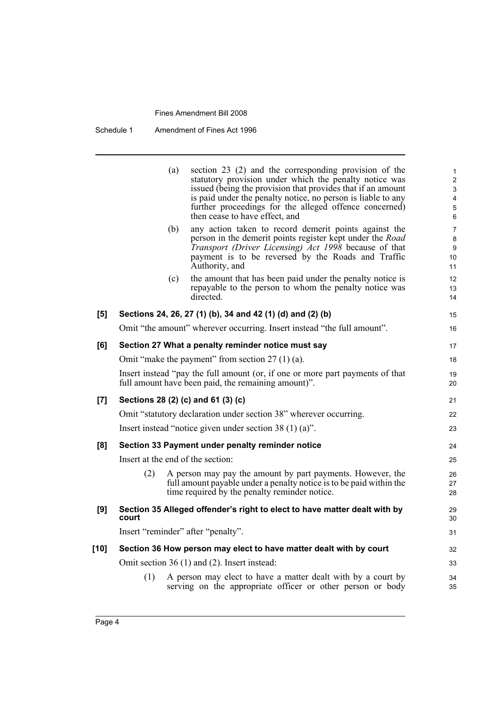| Schedule 1 | Amendment of Fines Act 1996 |
|------------|-----------------------------|
|------------|-----------------------------|

|      |       | (a) | section 23 (2) and the corresponding provision of the<br>statutory provision under which the penalty notice was<br>issued (being the provision that provides that if an amount<br>is paid under the penalty notice, no person is liable to any<br>further proceedings for the alleged offence concerned)<br>then cease to have effect, and | $\mathbf{1}$<br>$\overline{c}$<br>3<br>$\overline{\mathbf{4}}$<br>$\mathbf 5$<br>6 |
|------|-------|-----|--------------------------------------------------------------------------------------------------------------------------------------------------------------------------------------------------------------------------------------------------------------------------------------------------------------------------------------------|------------------------------------------------------------------------------------|
|      |       | (b) | any action taken to record demerit points against the<br>person in the demerit points register kept under the Road<br>Transport (Driver Licensing) Act 1998 because of that<br>payment is to be reversed by the Roads and Traffic<br>Authority, and                                                                                        | $\overline{7}$<br>8<br>9<br>10 <sup>°</sup><br>11                                  |
|      |       | (c) | the amount that has been paid under the penalty notice is<br>repayable to the person to whom the penalty notice was<br>directed.                                                                                                                                                                                                           | 12<br>13<br>14                                                                     |
| [5]  |       |     | Sections 24, 26, 27 (1) (b), 34 and 42 (1) (d) and (2) (b)                                                                                                                                                                                                                                                                                 | 15                                                                                 |
|      |       |     | Omit "the amount" wherever occurring. Insert instead "the full amount".                                                                                                                                                                                                                                                                    | 16                                                                                 |
| [6]  |       |     | Section 27 What a penalty reminder notice must say                                                                                                                                                                                                                                                                                         | 17                                                                                 |
|      |       |     | Omit "make the payment" from section $27(1)(a)$ .                                                                                                                                                                                                                                                                                          | 18                                                                                 |
|      |       |     | Insert instead "pay the full amount (or, if one or more part payments of that<br>full amount have been paid, the remaining amount)".                                                                                                                                                                                                       | 19<br>20                                                                           |
| [7]  |       |     | Sections 28 (2) (c) and 61 (3) (c)                                                                                                                                                                                                                                                                                                         | 21                                                                                 |
|      |       |     | Omit "statutory declaration under section 38" wherever occurring.                                                                                                                                                                                                                                                                          | 22                                                                                 |
|      |       |     | Insert instead "notice given under section 38 $(1)$ (a)".                                                                                                                                                                                                                                                                                  | 23                                                                                 |
| [8]  |       |     | Section 33 Payment under penalty reminder notice                                                                                                                                                                                                                                                                                           | 24                                                                                 |
|      |       |     | Insert at the end of the section:                                                                                                                                                                                                                                                                                                          | 25                                                                                 |
|      | (2)   |     | A person may pay the amount by part payments. However, the<br>full amount payable under a penalty notice is to be paid within the<br>time required by the penalty reminder notice.                                                                                                                                                         | 26<br>27<br>28                                                                     |
| [9]  | court |     | Section 35 Alleged offender's right to elect to have matter dealt with by                                                                                                                                                                                                                                                                  | 29<br>30                                                                           |
|      |       |     | Insert "reminder" after "penalty".                                                                                                                                                                                                                                                                                                         | 31                                                                                 |
| [10] |       |     | Section 36 How person may elect to have matter dealt with by court                                                                                                                                                                                                                                                                         | 32                                                                                 |
|      |       |     | Omit section 36 (1) and (2). Insert instead:                                                                                                                                                                                                                                                                                               | 33                                                                                 |
|      | (1)   |     | A person may elect to have a matter dealt with by a court by<br>serving on the appropriate officer or other person or body                                                                                                                                                                                                                 | 34<br>35                                                                           |
|      |       |     |                                                                                                                                                                                                                                                                                                                                            |                                                                                    |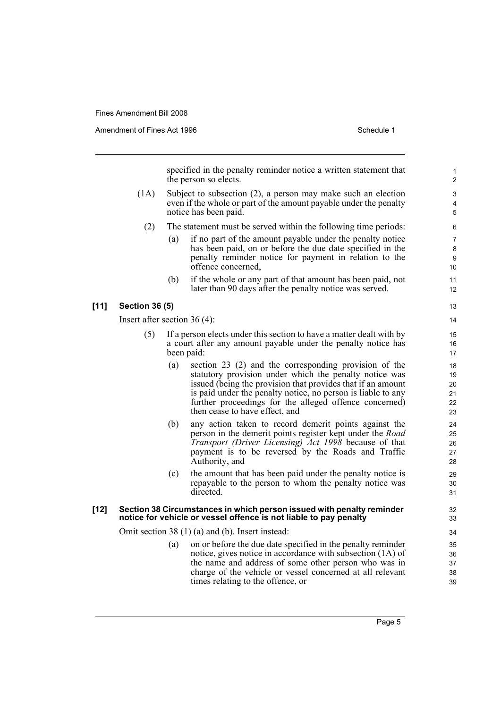Amendment of Fines Act 1996 Schedule 1

specified in the penalty reminder notice a written statement that the person so elects.

- (1A) Subject to subsection (2), a person may make such an election even if the whole or part of the amount payable under the penalty notice has been paid.
	- (2) The statement must be served within the following time periods:
		- (a) if no part of the amount payable under the penalty notice has been paid, on or before the due date specified in the penalty reminder notice for payment in relation to the offence concerned,
		- (b) if the whole or any part of that amount has been paid, not later than 90 days after the penalty notice was served.

#### **[11] Section 36 (5)**

Insert after section 36 (4):

- If a person elects under this section to have a matter dealt with by a court after any amount payable under the penalty notice has been paid:
	- (a) section 23 (2) and the corresponding provision of the statutory provision under which the penalty notice was issued (being the provision that provides that if an amount is paid under the penalty notice, no person is liable to any further proceedings for the alleged offence concerned) then cease to have effect, and
	- (b) any action taken to record demerit points against the person in the demerit points register kept under the *Road Transport (Driver Licensing) Act 1998* because of that payment is to be reversed by the Roads and Traffic Authority, and
	- (c) the amount that has been paid under the penalty notice is repayable to the person to whom the penalty notice was directed.

#### **[12] Section 38 Circumstances in which person issued with penalty reminder notice for vehicle or vessel offence is not liable to pay penalty**

Omit section 38 (1) (a) and (b). Insert instead:

(a) on or before the due date specified in the penalty reminder notice, gives notice in accordance with subsection (1A) of the name and address of some other person who was in charge of the vehicle or vessel concerned at all relevant times relating to the offence, or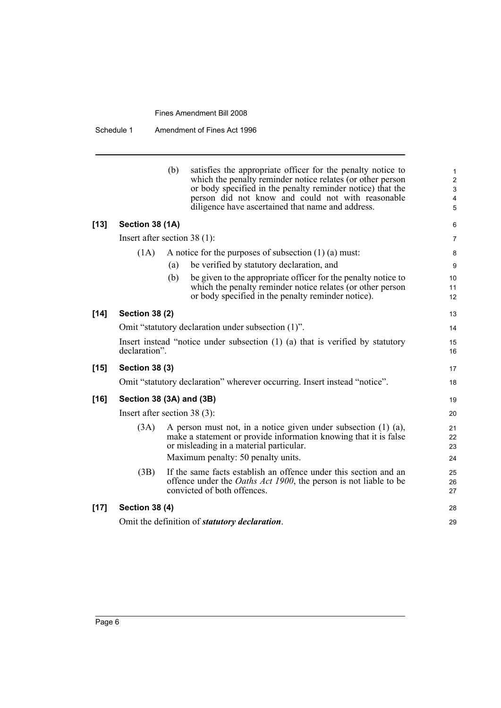Schedule 1 Amendment of Fines Act 1996

|        |                                | (b) | satisfies the appropriate officer for the penalty notice to<br>which the penalty reminder notice relates (or other person<br>or body specified in the penalty reminder notice) that the<br>person did not know and could not with reasonable<br>diligence have ascertained that name and address. | $\mathbf{1}$<br>$\overline{2}$<br>$\mathfrak{S}$<br>$\overline{\mathbf{4}}$<br>5 |
|--------|--------------------------------|-----|---------------------------------------------------------------------------------------------------------------------------------------------------------------------------------------------------------------------------------------------------------------------------------------------------|----------------------------------------------------------------------------------|
| [13]   | Section 38 (1A)                |     |                                                                                                                                                                                                                                                                                                   | 6                                                                                |
|        | Insert after section $38(1)$ : |     |                                                                                                                                                                                                                                                                                                   | $\overline{7}$                                                                   |
|        | (1A)                           |     | A notice for the purposes of subsection $(1)$ $(a)$ must:                                                                                                                                                                                                                                         | 8                                                                                |
|        |                                | (a) | be verified by statutory declaration, and                                                                                                                                                                                                                                                         | 9                                                                                |
|        |                                | (b) | be given to the appropriate officer for the penalty notice to<br>which the penalty reminder notice relates (or other person<br>or body specified in the penalty reminder notice).                                                                                                                 | 10<br>11<br>12                                                                   |
| $[14]$ | <b>Section 38 (2)</b>          |     |                                                                                                                                                                                                                                                                                                   | 13                                                                               |
|        |                                |     | Omit "statutory declaration under subsection (1)".                                                                                                                                                                                                                                                | 14                                                                               |
|        | declaration".                  |     | Insert instead "notice under subsection $(1)$ $(a)$ that is verified by statutory                                                                                                                                                                                                                 | 15<br>16                                                                         |
| [15]   | <b>Section 38 (3)</b>          |     |                                                                                                                                                                                                                                                                                                   | 17                                                                               |
|        |                                |     | Omit "statutory declaration" wherever occurring. Insert instead "notice".                                                                                                                                                                                                                         | 18                                                                               |
| [16]   | Section 38 (3A) and (3B)       |     |                                                                                                                                                                                                                                                                                                   | 19                                                                               |
|        | Insert after section $38(3)$ : |     |                                                                                                                                                                                                                                                                                                   | 20                                                                               |
|        | (3A)                           |     | A person must not, in a notice given under subsection $(1)$ $(a)$ ,<br>make a statement or provide information knowing that it is false<br>or misleading in a material particular.<br>Maximum penalty: 50 penalty units.                                                                          | 21<br>22<br>23<br>24                                                             |
|        | (3B)                           |     | If the same facts establish an offence under this section and an<br>offence under the <i>Oaths Act 1900</i> , the person is not liable to be<br>convicted of both offences.                                                                                                                       | 25<br>26<br>27                                                                   |
| [17]   | <b>Section 38 (4)</b>          |     |                                                                                                                                                                                                                                                                                                   | 28                                                                               |
|        |                                |     | Omit the definition of statutory declaration.                                                                                                                                                                                                                                                     | 29                                                                               |
|        |                                |     |                                                                                                                                                                                                                                                                                                   |                                                                                  |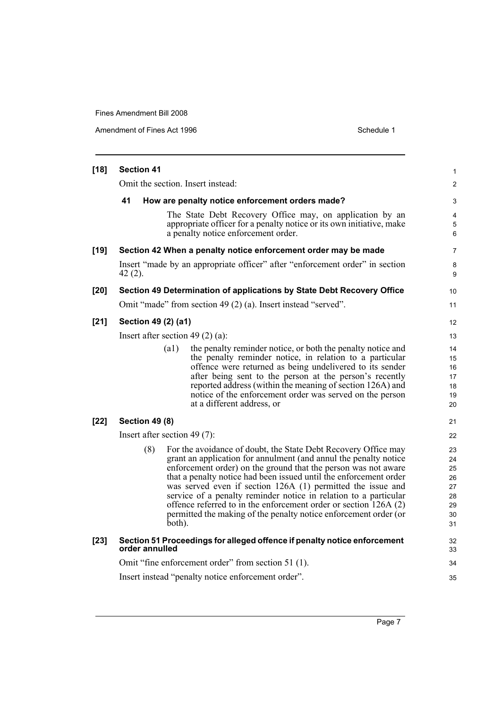Amendment of Fines Act 1996 Schedule 1

| $[18]$ | <b>Section 41</b>                  |                                                                                                                                                                                                                                                                                                                                                                                                                                                                                                                                                      | 1                                                  |
|--------|------------------------------------|------------------------------------------------------------------------------------------------------------------------------------------------------------------------------------------------------------------------------------------------------------------------------------------------------------------------------------------------------------------------------------------------------------------------------------------------------------------------------------------------------------------------------------------------------|----------------------------------------------------|
|        | Omit the section. Insert instead:  |                                                                                                                                                                                                                                                                                                                                                                                                                                                                                                                                                      | $\overline{c}$                                     |
|        | 41                                 | How are penalty notice enforcement orders made?                                                                                                                                                                                                                                                                                                                                                                                                                                                                                                      | 3                                                  |
|        |                                    | The State Debt Recovery Office may, on application by an<br>appropriate officer for a penalty notice or its own initiative, make<br>a penalty notice enforcement order.                                                                                                                                                                                                                                                                                                                                                                              | 4<br>5<br>6                                        |
| $[19]$ |                                    | Section 42 When a penalty notice enforcement order may be made                                                                                                                                                                                                                                                                                                                                                                                                                                                                                       | 7                                                  |
|        | $42(2)$ .                          | Insert "made by an appropriate officer" after "enforcement order" in section                                                                                                                                                                                                                                                                                                                                                                                                                                                                         | 8<br>9                                             |
| $[20]$ |                                    | Section 49 Determination of applications by State Debt Recovery Office                                                                                                                                                                                                                                                                                                                                                                                                                                                                               | 10                                                 |
|        |                                    | Omit "made" from section 49 (2) (a). Insert instead "served".                                                                                                                                                                                                                                                                                                                                                                                                                                                                                        | 11                                                 |
| $[21]$ | Section 49 (2) (a1)                |                                                                                                                                                                                                                                                                                                                                                                                                                                                                                                                                                      | 12                                                 |
|        | Insert after section 49 $(2)$ (a): |                                                                                                                                                                                                                                                                                                                                                                                                                                                                                                                                                      | 13                                                 |
|        | (a1)                               | the penalty reminder notice, or both the penalty notice and<br>the penalty reminder notice, in relation to a particular<br>offence were returned as being undelivered to its sender<br>after being sent to the person at the person's recently<br>reported address (within the meaning of section 126A) and<br>notice of the enforcement order was served on the person<br>at a different address, or                                                                                                                                                | 14<br>15<br>16<br>17<br>18<br>19<br>20             |
| $[22]$ | <b>Section 49 (8)</b>              |                                                                                                                                                                                                                                                                                                                                                                                                                                                                                                                                                      | 21                                                 |
|        | Insert after section 49 $(7)$ :    |                                                                                                                                                                                                                                                                                                                                                                                                                                                                                                                                                      | 22                                                 |
|        | (8)<br>both).                      | For the avoidance of doubt, the State Debt Recovery Office may<br>grant an application for annulment (and annul the penalty notice<br>enforcement order) on the ground that the person was not aware<br>that a penalty notice had been issued until the enforcement order<br>was served even if section 126A (1) permitted the issue and<br>service of a penalty reminder notice in relation to a particular<br>offence referred to in the enforcement order or section 126A (2)<br>permitted the making of the penalty notice enforcement order (or | 23<br>24<br>25<br>26<br>27<br>28<br>29<br>30<br>31 |
| $[23]$ | order annulled                     | Section 51 Proceedings for alleged offence if penalty notice enforcement                                                                                                                                                                                                                                                                                                                                                                                                                                                                             | 32<br>33                                           |
|        |                                    | Omit "fine enforcement order" from section 51 (1).                                                                                                                                                                                                                                                                                                                                                                                                                                                                                                   | 34                                                 |
|        |                                    | Insert instead "penalty notice enforcement order".                                                                                                                                                                                                                                                                                                                                                                                                                                                                                                   | 35                                                 |

Page 7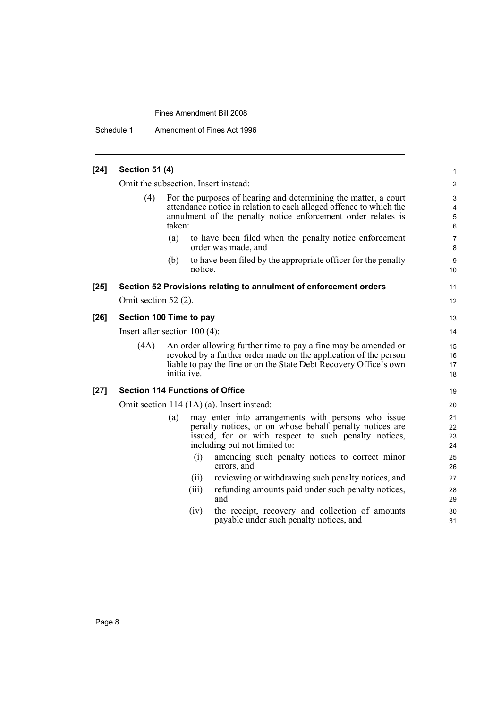Schedule 1 Amendment of Fines Act 1996

| [24]   | <b>Section 51 (4)</b>           |                                        |                                                                                                                                                                                                         | 1                          |  |
|--------|---------------------------------|----------------------------------------|---------------------------------------------------------------------------------------------------------------------------------------------------------------------------------------------------------|----------------------------|--|
|        |                                 | Omit the subsection. Insert instead:   |                                                                                                                                                                                                         | $\overline{2}$             |  |
|        | (4)                             | taken:                                 | For the purposes of hearing and determining the matter, a court<br>attendance notice in relation to each alleged offence to which the<br>annulment of the penalty notice enforcement order relates is   | 3<br>4<br>$\mathbf 5$<br>6 |  |
|        |                                 | (a)                                    | to have been filed when the penalty notice enforcement<br>order was made, and                                                                                                                           | $\overline{7}$<br>8        |  |
|        |                                 | (b)<br>notice.                         | to have been filed by the appropriate officer for the penalty                                                                                                                                           | 9<br>10                    |  |
| $[25]$ |                                 |                                        | Section 52 Provisions relating to annulment of enforcement orders                                                                                                                                       | 11                         |  |
|        | Omit section 52 $(2)$ .         |                                        |                                                                                                                                                                                                         | 12                         |  |
| $[26]$ |                                 | Section 100 Time to pay                |                                                                                                                                                                                                         | 13                         |  |
|        | Insert after section $100(4)$ : |                                        |                                                                                                                                                                                                         |                            |  |
|        | (4A)                            | initiative.                            | An order allowing further time to pay a fine may be amended or<br>revoked by a further order made on the application of the person<br>liable to pay the fine or on the State Debt Recovery Office's own | 15<br>16<br>17<br>18       |  |
| $[27]$ |                                 | <b>Section 114 Functions of Office</b> |                                                                                                                                                                                                         | 19                         |  |
|        |                                 |                                        | Omit section 114 (1A) (a). Insert instead:                                                                                                                                                              | 20                         |  |
|        |                                 | (a)                                    | may enter into arrangements with persons who issue<br>penalty notices, or on whose behalf penalty notices are<br>issued, for or with respect to such penalty notices,<br>including but not limited to:  | 21<br>22<br>23<br>24       |  |
|        |                                 | (i)                                    | amending such penalty notices to correct minor<br>errors, and                                                                                                                                           | 25<br>26                   |  |
|        |                                 | (ii)                                   | reviewing or withdrawing such penalty notices, and                                                                                                                                                      | 27                         |  |
|        |                                 | (iii)                                  | refunding amounts paid under such penalty notices,<br>and                                                                                                                                               | 28<br>29                   |  |
|        |                                 | (iv)                                   | the receipt, recovery and collection of amounts<br>payable under such penalty notices, and                                                                                                              | 30<br>31                   |  |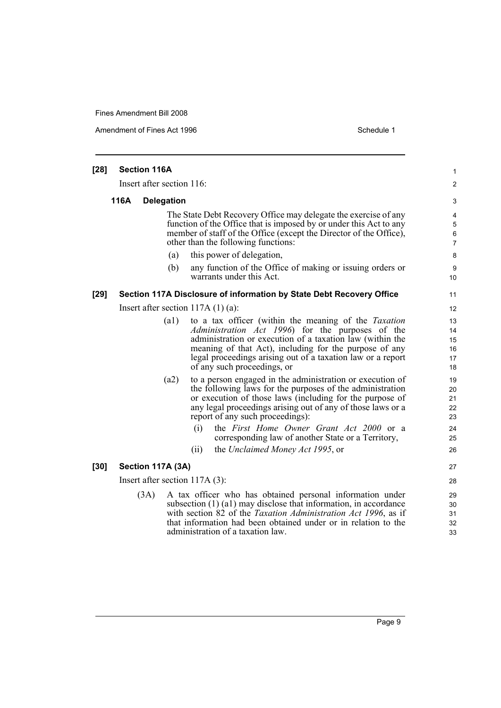Amendment of Fines Act 1996 Schedule 1

| $[28]$                    | <b>Section 116A</b>                                                                                                                                                                                                                                |                                  |      |      |                                                                                                                                                                                                                                                                                                                                                                                         | 1                                      |
|---------------------------|----------------------------------------------------------------------------------------------------------------------------------------------------------------------------------------------------------------------------------------------------|----------------------------------|------|------|-----------------------------------------------------------------------------------------------------------------------------------------------------------------------------------------------------------------------------------------------------------------------------------------------------------------------------------------------------------------------------------------|----------------------------------------|
| Insert after section 116: |                                                                                                                                                                                                                                                    |                                  |      |      |                                                                                                                                                                                                                                                                                                                                                                                         | 2                                      |
|                           | 116A                                                                                                                                                                                                                                               | <b>Delegation</b>                |      |      |                                                                                                                                                                                                                                                                                                                                                                                         | 3                                      |
|                           | The State Debt Recovery Office may delegate the exercise of any<br>function of the Office that is imposed by or under this Act to any<br>member of staff of the Office (except the Director of the Office),<br>other than the following functions: |                                  |      |      |                                                                                                                                                                                                                                                                                                                                                                                         |                                        |
|                           |                                                                                                                                                                                                                                                    |                                  | (a)  |      | this power of delegation,                                                                                                                                                                                                                                                                                                                                                               | 8                                      |
|                           |                                                                                                                                                                                                                                                    |                                  | (b)  |      | any function of the Office of making or issuing orders or<br>warrants under this Act.                                                                                                                                                                                                                                                                                                   | 9<br>10                                |
| $[29]$                    |                                                                                                                                                                                                                                                    |                                  |      |      | Section 117A Disclosure of information by State Debt Recovery Office                                                                                                                                                                                                                                                                                                                    | 11                                     |
|                           |                                                                                                                                                                                                                                                    |                                  |      |      | Insert after section $117A(1)(a)$ :                                                                                                                                                                                                                                                                                                                                                     | 12                                     |
|                           |                                                                                                                                                                                                                                                    |                                  | (a1) |      | to a tax officer (within the meaning of the Taxation<br>Administration Act 1996) for the purposes of the<br>administration or execution of a taxation law (within the<br>meaning of that Act), including for the purpose of any<br>legal proceedings arising out of a taxation law or a report<br>of any such proceedings, or                                                           | 13<br>14<br>15<br>16<br>17<br>18       |
|                           |                                                                                                                                                                                                                                                    |                                  | (a2) | (i)  | to a person engaged in the administration or execution of<br>the following laws for the purposes of the administration<br>or execution of those laws (including for the purpose of<br>any legal proceedings arising out of any of those laws or a<br>report of any such proceedings):<br>the First Home Owner Grant Act 2000 or a<br>corresponding law of another State or a Territory, | 19<br>20<br>21<br>22<br>23<br>24<br>25 |
|                           |                                                                                                                                                                                                                                                    |                                  |      | (ii) | the Unclaimed Money Act 1995, or                                                                                                                                                                                                                                                                                                                                                        | 26                                     |
| $[30]$                    |                                                                                                                                                                                                                                                    | Section 117A (3A)                |      |      |                                                                                                                                                                                                                                                                                                                                                                                         | 27                                     |
|                           |                                                                                                                                                                                                                                                    | Insert after section $117A(3)$ : |      |      |                                                                                                                                                                                                                                                                                                                                                                                         | 28                                     |
|                           |                                                                                                                                                                                                                                                    | (3A)                             |      |      | A tax officer who has obtained personal information under<br>subsection $(1)$ $(1)$ may disclose that information, in accordance<br>with section 82 of the Taxation Administration Act 1996, as if<br>that information had been obtained under or in relation to the<br>administration of a taxation law.                                                                               | 29<br>30<br>31<br>32<br>33             |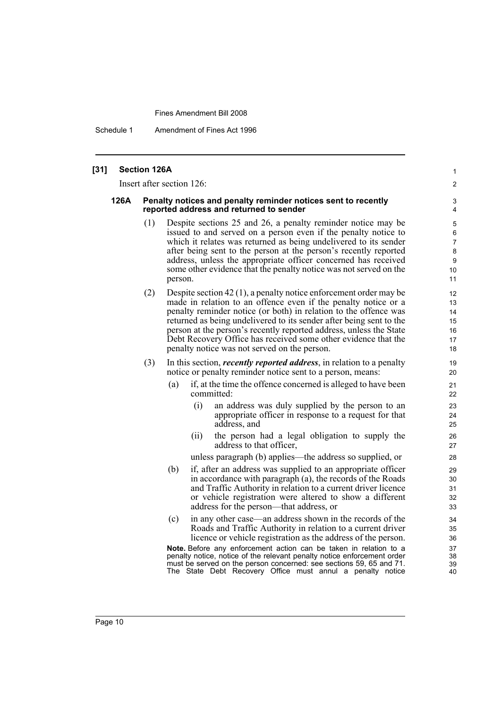Schedule 1 Amendment of Fines Act 1996

#### **[31] Section 126A**

Insert after section 126:

#### **126A Penalty notices and penalty reminder notices sent to recently reported address and returned to sender**

(1) Despite sections 25 and 26, a penalty reminder notice may be issued to and served on a person even if the penalty notice to which it relates was returned as being undelivered to its sender after being sent to the person at the person's recently reported address, unless the appropriate officer concerned has received some other evidence that the penalty notice was not served on the person.

1  $\mathfrak{p}$ 

- (2) Despite section 42 (1), a penalty notice enforcement order may be made in relation to an offence even if the penalty notice or a penalty reminder notice (or both) in relation to the offence was returned as being undelivered to its sender after being sent to the person at the person's recently reported address, unless the State Debt Recovery Office has received some other evidence that the penalty notice was not served on the person.
- (3) In this section, *recently reported address*, in relation to a penalty notice or penalty reminder notice sent to a person, means:
	- (a) if, at the time the offence concerned is alleged to have been committed:
		- (i) an address was duly supplied by the person to an appropriate officer in response to a request for that address, and
		- (ii) the person had a legal obligation to supply the address to that officer,

unless paragraph (b) applies—the address so supplied, or

- (b) if, after an address was supplied to an appropriate officer in accordance with paragraph (a), the records of the Roads and Traffic Authority in relation to a current driver licence or vehicle registration were altered to show a different address for the person—that address, or
- (c) in any other case—an address shown in the records of the Roads and Traffic Authority in relation to a current driver licence or vehicle registration as the address of the person.

**Note.** Before any enforcement action can be taken in relation to a penalty notice, notice of the relevant penalty notice enforcement order must be served on the person concerned: see sections 59, 65 and 71. The State Debt Recovery Office must annul a penalty notice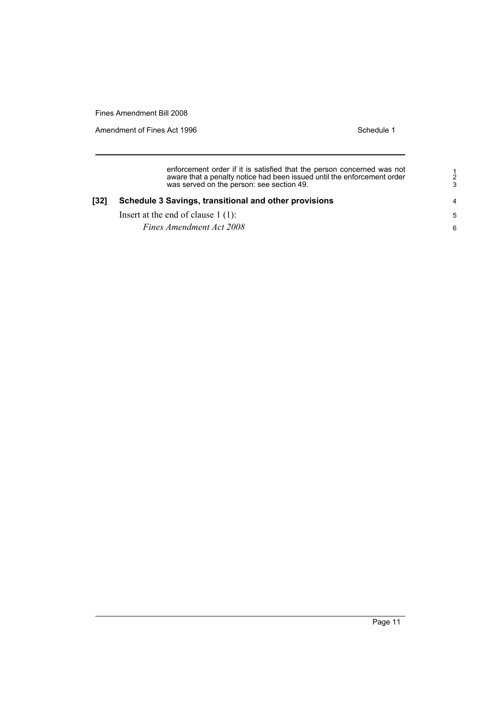Amendment of Fines Act 1996 Schedule 1

enforcement order if it is satisfied that the person concerned was not aware that a penalty notice had been issued until the enforcement order was served on the person: see section 49.

#### **[32] Schedule 3 Savings, transitional and other provisions**

Insert at the end of clause 1 (1):

*Fines Amendment Act 2008*